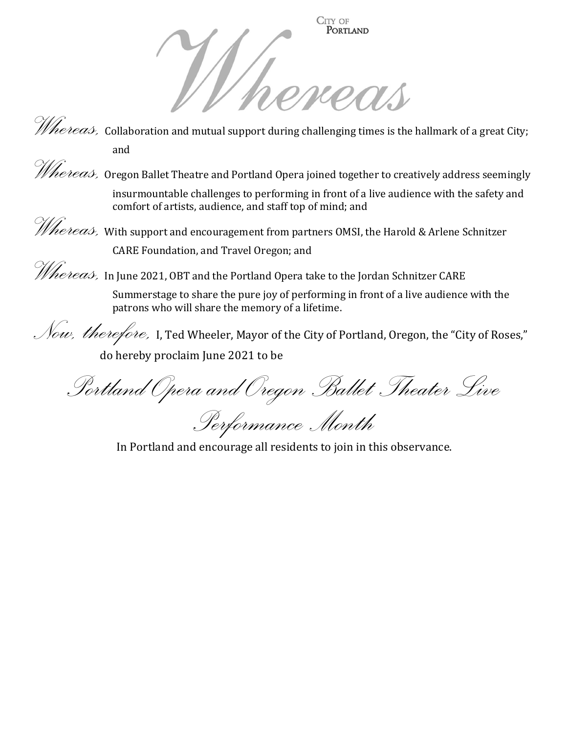

*Whereas,* Collaboration and mutual support during challenging times is the hallmark of a great City; and

*Whereas,* Oregon Ballet Theatre and Portland Opera joined together to creatively address seemingly insurmountable challenges to performing in front of a live audience with the safety and comfort of artists, audience, and staff top of mind; and

*Whereas,* With support and encouragement from partners OMSI, the Harold & Arlene Schnitzer CARE Foundation, and Travel Oregon; and

 $\mathscr{The}\mathit{reas},\ \mathtt{In}\texttt{June}$  2021, OBT and the Portland Opera take to the Jordan Schnitzer CARE

Summerstage to share the pure joy of performing in front of a live audience with the patrons who will share the memory of a lifetime.

Now, therefore, I, Ted Wheeler, Mayor of the City of Portland, Oregon, the "City of Roses," do hereby proclaim June 2021 to be

Portland Opera and Oregon Ballet Theater Live

Performance Month

In Portland and encourage all residents to join in this observance.